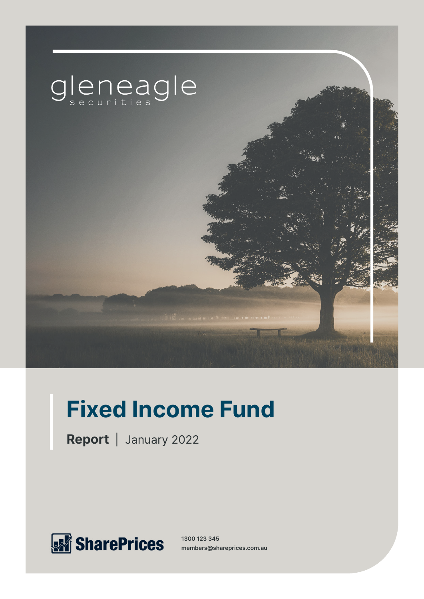

# **Fixed Income Fund**

**Report** | January 2022



**1300 123 345 members@shareprices.com.au**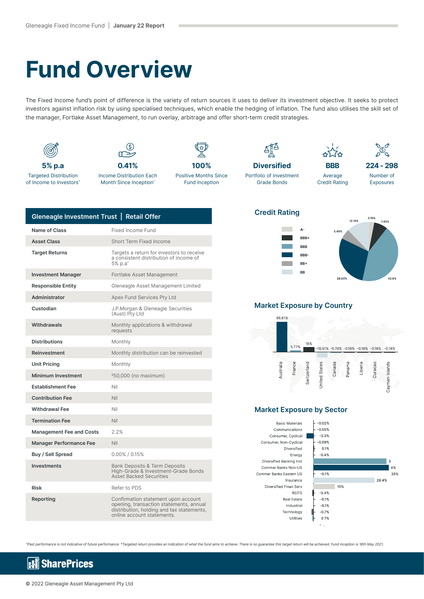## **Fund Overview**

The Fixed Income fund's point of difference is the variety of return sources it uses to deliver its investment objective. It seeks to protect investors against inflation risk by using specialised techniques, which enable the hedging of inflation. The fund also utilises the skill set of the manager, Fortlake Asset Management, to run overlay, arbitrage and offer short-term credit strategies.



| Gleneagle Investment Trust   Retail Offer |                                                                                                                                                           |
|-------------------------------------------|-----------------------------------------------------------------------------------------------------------------------------------------------------------|
| Name of Class                             | Fixed Income Fund                                                                                                                                         |
| <b>Asset Class</b>                        | Short Term Fixed Income                                                                                                                                   |
| <b>Target Returns</b>                     | Targets a return for investors to receive<br>a consistent distribution of income of<br>5% p.a*                                                            |
| <b>Investment Manager</b>                 | Fortlake Asset Management                                                                                                                                 |
| <b>Responsible Entity</b>                 | Gleneagle Asset Management Limited                                                                                                                        |
| Administrator                             | Apex Fund Services Pty Ltd                                                                                                                                |
| Custodian                                 | J.P.Morgan & Gleneagle Securities<br>(Aust) Pty Ltd                                                                                                       |
| <b>Withdrawals</b>                        | Monthly applications & withdrawal<br>requests                                                                                                             |
| <b>Distributions</b>                      | Monthly                                                                                                                                                   |
| Reinvestment                              | Monthly distribution can be reinvested                                                                                                                    |
| <b>Unit Pricing</b>                       | Monthly                                                                                                                                                   |
| <b>Minimum Investment</b>                 | \$50,000 (no maximum)                                                                                                                                     |
| <b>Establishment Fee</b>                  | Nil                                                                                                                                                       |
| <b>Contribution Fee</b>                   | Nil                                                                                                                                                       |
| <b>Withdrawal Fee</b>                     | Nil                                                                                                                                                       |
| <b>Termination Fee</b>                    | Nil                                                                                                                                                       |
| <b>Management Fee and Costs</b>           | 2.2%                                                                                                                                                      |
| <b>Manager Performance Fee</b>            | Nil                                                                                                                                                       |
| Buy / Sell Spread                         | $0.00\%$ / 0.15%                                                                                                                                          |
| <b>Investments</b>                        | <b>Bank Deposits &amp; Term Deposits</b><br>High-Grade & Investment-Grade Bonds<br><b>Asset Backed Securities</b>                                         |
| Risk                                      | Refer to PDS                                                                                                                                              |
| Reporting                                 | Confirmation statement upon account<br>opening, transaction statements, annual<br>distribution, holding and tax statements,<br>online account statements. |

#### **Credit Rating**





#### **Market Exposure by Country**



### **Market Exposure by Sector**

**Basic Materials** Communications Consumer, Cyclical Consumer, Non-Cyclical Diversified Energy Diversified Banking Inst Commer Banks Non-US Commer Banks Eastern US Insurance Diversified Finan Serv REITS Real Estate Industrial Technology Utilities



^Past performance is not indicative of future performance. \*Targeted return provides an indication of what the fund aims to achieve. There is no guarantee this target return will be achieved. Fund inception is 18th May 2021.

#### **SharePrices** k.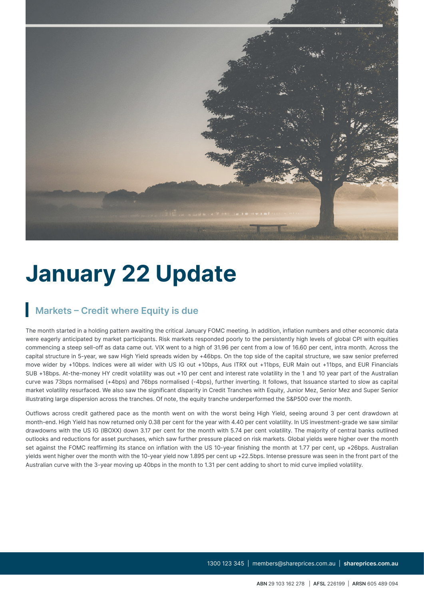

## **January 22 Update**

## **Markets – Credit where Equity is due**

The month started in a holding pattern awaiting the critical January FOMC meeting. In addition, inflation numbers and other economic data were eagerly anticipated by market participants. Risk markets responded poorly to the persistently high levels of global CPI with equities commencing a steep sell-off as data came out. VIX went to a high of 31.96 per cent from a low of 16.60 per cent, intra month. Across the capital structure in 5-year, we saw High Yield spreads widen by +46bps. On the top side of the capital structure, we saw senior preferred move wider by +10bps. Indices were all wider with US IG out +10bps, Aus ITRX out +11bps, EUR Main out +11bps, and EUR Financials SUB +18bps. At-the-money HY credit volatility was out +10 per cent and interest rate volatility in the 1 and 10 year part of the Australian curve was 73bps normalised (+4bps) and 76bps normalised (-4bps), further inverting. It follows, that Issuance started to slow as capital market volatility resurfaced. We also saw the significant disparity in Credit Tranches with Equity, Junior Mez, Senior Mez and Super Senior illustrating large dispersion across the tranches. Of note, the equity tranche underperformed the S&P500 over the month.

Outflows across credit gathered pace as the month went on with the worst being High Yield, seeing around 3 per cent drawdown at month-end. High Yield has now returned only 0.38 per cent for the year with 4.40 per cent volatility. In US investment-grade we saw similar drawdowns with the US IG (IBOXX) down 3.17 per cent for the month with 5.74 per cent volatility. The majority of central banks outlined outlooks and reductions for asset purchases, which saw further pressure placed on risk markets. Global yields were higher over the month set against the FOMC reaffirming its stance on inflation with the US 10-year finishing the month at 1.77 per cent, up +26bps. Australian yields went higher over the month with the 10-year yield now 1.895 per cent up +22.5bps. Intense pressure was seen in the front part of the Australian curve with the 3-year moving up 40bps in the month to 1.31 per cent adding to short to mid curve implied volatility.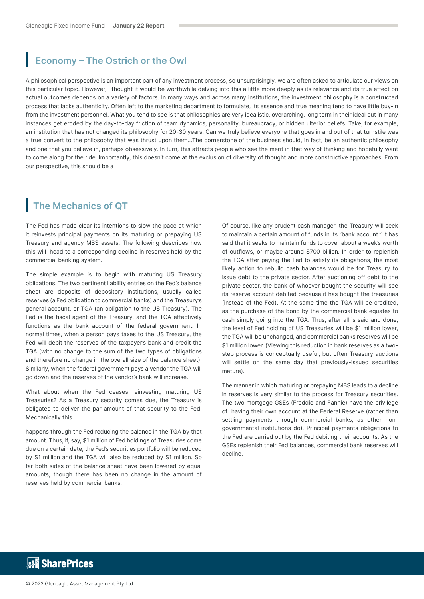### **Economy – The Ostrich or the Owl**

A philosophical perspective is an important part of any investment process, so unsurprisingly, we are often asked to articulate our views on this particular topic. However, I thought it would be worthwhile delving into this a little more deeply as its relevance and its true effect on actual outcomes depends on a variety of factors. In many ways and across many institutions, the investment philosophy is a constructed process that lacks authenticity. Often left to the marketing department to formulate, its essence and true meaning tend to have little buy-in from the investment personnel. What you tend to see is that philosophies are very idealistic, overarching, long term in their ideal but in many instances get eroded by the day-to-day friction of team dynamics, personality, bureaucracy, or hidden ulterior beliefs. Take, for example, an institution that has not changed its philosophy for 20-30 years. Can we truly believe everyone that goes in and out of that turnstile was a true convert to the philosophy that was thrust upon them…The cornerstone of the business should, in fact, be an authentic philosophy and one that you believe in, perhaps obsessively. In turn, this attracts people who see the merit in that way of thinking and hopefully want to come along for the ride. Importantly, this doesn't come at the exclusion of diversity of thought and more constructive approaches. From our perspective, this should be a

### **The Mechanics of QT**

The Fed has made clear its intentions to slow the pace at which it reinvests principal payments on its maturing or prepaying US Treasury and agency MBS assets. The following describes how this will head to a corresponding decline in reserves held by the commercial banking system.

The simple example is to begin with maturing US Treasury obligations. The two pertinent liability entries on the Fed's balance sheet are deposits of depository institutions, usually called reserves (a Fed obligation to commercial banks) and the Treasury's general account, or TGA (an obligation to the US Treasury). The Fed is the fiscal agent of the Treasury, and the TGA effectively functions as the bank account of the federal government. In normal times, when a person pays taxes to the US Treasury, the Fed will debit the reserves of the taxpayer's bank and credit the TGA (with no change to the sum of the two types of obligations and therefore no change in the overall size of the balance sheet). Similarly, when the federal government pays a vendor the TGA will go down and the reserves of the vendor's bank will increase.

What about when the Fed ceases reinvesting maturing US Treasuries? As a Treasury security comes due, the Treasury is obligated to deliver the par amount of that security to the Fed. Mechanically this

happens through the Fed reducing the balance in the TGA by that amount. Thus, if, say, \$1 million of Fed holdings of Treasuries come due on a certain date, the Fed's securities portfolio will be reduced by \$1 million and the TGA will also be reduced by \$1 million. So far both sides of the balance sheet have been lowered by equal amounts, though there has been no change in the amount of reserves held by commercial banks.

Of course, like any prudent cash manager, the Treasury will seek to maintain a certain amount of funds in its "bank account" It has said that it seeks to maintain funds to cover about a week's worth of outflows, or maybe around \$700 billion. In order to replenish the TGA after paying the Fed to satisfy its obligations, the most likely action to rebuild cash balances would be for Treasury to issue debt to the private sector. After auctioning off debt to the private sector, the bank of whoever bought the security will see its reserve account debited because it has bought the treasuries (instead of the Fed). At the same time the TGA will be credited, as the purchase of the bond by the commercial bank equates to cash simply going into the TGA. Thus, after all is said and done, the level of Fed holding of US Treasuries will be \$1 million lower, the TGA will be unchanged, and commercial banks reserves will be \$1 million lower. (Viewing this reduction in bank reserves as a twostep process is conceptually useful, but often Treasury auctions will settle on the same day that previously-issued securities mature).

The manner in which maturing or prepaying MBS leads to a decline in reserves is very similar to the process for Treasury securities. The two mortgage GSEs (Freddie and Fannie) have the privilege of having their own account at the Federal Reserve (rather than settling payments through commercial banks, as other nongovernmental institutions do). Principal payments obligations to the Fed are carried out by the Fed debiting their accounts. As the GSEs replenish their Fed balances, commercial bank reserves will decline.

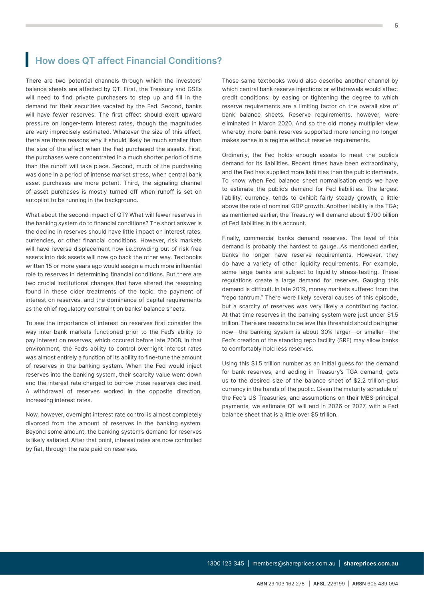**ABN** 29 103 162 278 | **AFSL** 226199 | **ARSN** 605 489 094

## **How does QT affect Financial Conditions?**

There are two potential channels through which the investors' balance sheets are affected by QT. First, the Treasury and GSEs will need to find private purchasers to step up and fill in the demand for their securities vacated by the Fed. Second, banks will have fewer reserves. The first effect should exert upward pressure on longer-term interest rates, though the magnitudes are very imprecisely estimated. Whatever the size of this effect, there are three reasons why it should likely be much smaller than the size of the effect when the Fed purchased the assets. First, the purchases were concentrated in a much shorter period of time than the runoff will take place. Second, much of the purchasing was done in a period of intense market stress, when central bank asset purchases are more potent. Third, the signaling channel of asset purchases is mostly turned off when runoff is set on autopilot to be running in the background.

What about the second impact of QT? What will fewer reserves in the banking system do to financial conditions? The short answer is the decline in reserves should have little impact on interest rates, currencies, or other financial conditions. However, risk markets will have reverse displacement now i.e.crowding out of risk-free assets into risk assets will now go back the other way. Textbooks written 15 or more years ago would assign a much more influential role to reserves in determining financial conditions. But there are two crucial institutional changes that have altered the reasoning found in these older treatments of the topic: the payment of interest on reserves, and the dominance of capital requirements as the chief regulatory constraint on banks' balance sheets.

To see the importance of interest on reserves first consider the way inter-bank markets functioned prior to the Fed's ability to pay interest on reserves, which occured before late 2008. In that environment, the Fed's ability to control overnight interest rates was almost entirely a function of its ability to fine-tune the amount of reserves in the banking system. When the Fed would inject reserves into the banking system, their scarcity value went down and the interest rate charged to borrow those reserves declined. A withdrawal of reserves worked in the opposite direction, increasing interest rates.

Now, however, overnight interest rate control is almost completely divorced from the amount of reserves in the banking system. Beyond some amount, the banking system's demand for reserves is likely satiated. After that point, interest rates are now controlled by fiat, through the rate paid on reserves.

Those same textbooks would also describe another channel by which central bank reserve injections or withdrawals would affect credit conditions: by easing or tightening the degree to which reserve requirements are a limiting factor on the overall size of bank balance sheets. Reserve requirements, however, were eliminated in March 2020. And so the old money multiplier view whereby more bank reserves supported more lending no longer makes sense in a regime without reserve requirements.

Ordinarily, the Fed holds enough assets to meet the public's demand for its liabilities. Recent times have been extraordinary, and the Fed has supplied more liabilities than the public demands. To know when Fed balance sheet normalisation ends we have to estimate the public's demand for Fed liabilities. The largest liability, currency, tends to exhibit fairly steady growth, a little above the rate of nominal GDP growth. Another liability is the TGA; as mentioned earlier, the Treasury will demand about \$700 billion of Fed liabilities in this account.

Finally, commercial banks demand reserves. The level of this demand is probably the hardest to gauge. As mentioned earlier, banks no longer have reserve requirements. However, they do have a variety of other liquidity requirements. For example, some large banks are subject to liquidity stress-testing. These regulations create a large demand for reserves. Gauging this demand is difficult. In late 2019, money markets suffered from the "repo tantrum." There were likely several causes of this episode, but a scarcity of reserves was very likely a contributing factor. At that time reserves in the banking system were just under \$1.5 trillion. There are reasons to believe this threshold should be higher now—the banking system is about 30% larger—or smaller—the Fed's creation of the standing repo facility (SRF) may allow banks to comfortably hold less reserves.

Using this \$1.5 trillion number as an initial guess for the demand for bank reserves, and adding in Treasury's TGA demand, gets us to the desired size of the balance sheet of \$2.2 trillion-plus currency in the hands of the public. Given the maturity schedule of the Fed's US Treasuries, and assumptions on their MBS principal payments, we estimate QT will end in 2026 or 2027, with a Fed balance sheet that is a little over \$5 trillion.